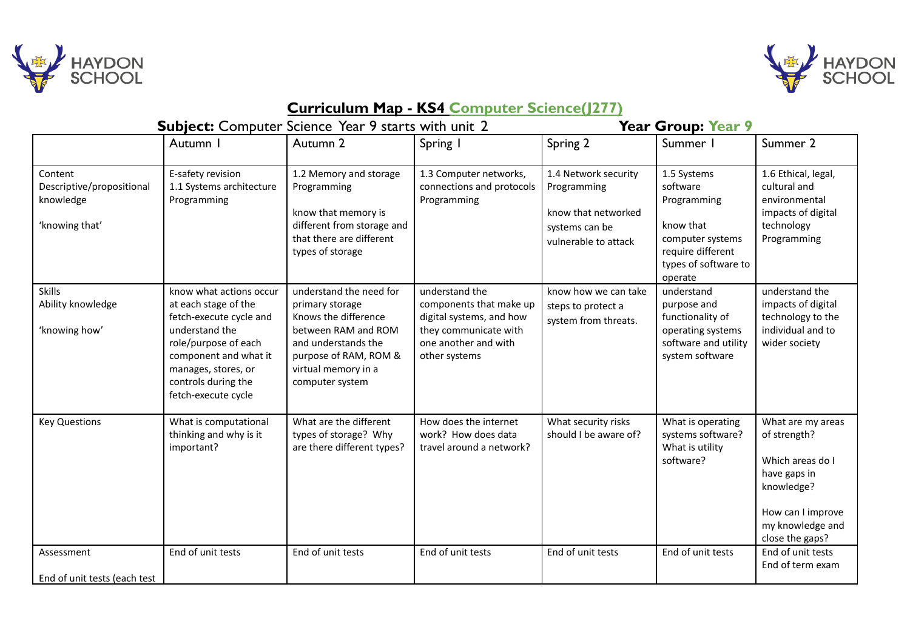



## **Curriculum Map - KS4 Computer Science(J277)**

|                                                                     | <b>Subject:</b> Computer Science Year 9 starts with unit 2                                                                                                                                                         |                                                                                                                                                                                     |                                                                                                                                         | <b>Year Group: Year 9</b>                                                                            |                                                                                                                                 |                                                                                                                                                 |  |
|---------------------------------------------------------------------|--------------------------------------------------------------------------------------------------------------------------------------------------------------------------------------------------------------------|-------------------------------------------------------------------------------------------------------------------------------------------------------------------------------------|-----------------------------------------------------------------------------------------------------------------------------------------|------------------------------------------------------------------------------------------------------|---------------------------------------------------------------------------------------------------------------------------------|-------------------------------------------------------------------------------------------------------------------------------------------------|--|
|                                                                     | Autumn I                                                                                                                                                                                                           | Autumn 2                                                                                                                                                                            | Spring I                                                                                                                                | Spring 2                                                                                             | Summer I                                                                                                                        | Summer 2                                                                                                                                        |  |
| Content<br>Descriptive/propositional<br>knowledge<br>'knowing that' | E-safety revision<br>1.1 Systems architecture<br>Programming                                                                                                                                                       | 1.2 Memory and storage<br>Programming<br>know that memory is<br>different from storage and<br>that there are different<br>types of storage                                          | 1.3 Computer networks,<br>connections and protocols<br>Programming                                                                      | 1.4 Network security<br>Programming<br>know that networked<br>systems can be<br>vulnerable to attack | 1.5 Systems<br>software<br>Programming<br>know that<br>computer systems<br>require different<br>types of software to<br>operate | 1.6 Ethical, legal,<br>cultural and<br>environmental<br>impacts of digital<br>technology<br>Programming                                         |  |
| <b>Skills</b><br>Ability knowledge<br>'knowing how'                 | know what actions occur<br>at each stage of the<br>fetch-execute cycle and<br>understand the<br>role/purpose of each<br>component and what it<br>manages, stores, or<br>controls during the<br>fetch-execute cycle | understand the need for<br>primary storage<br>Knows the difference<br>between RAM and ROM<br>and understands the<br>purpose of RAM, ROM &<br>virtual memory in a<br>computer system | understand the<br>components that make up<br>digital systems, and how<br>they communicate with<br>one another and with<br>other systems | know how we can take<br>steps to protect a<br>system from threats.                                   | understand<br>purpose and<br>functionality of<br>operating systems<br>software and utility<br>system software                   | understand the<br>impacts of digital<br>technology to the<br>individual and to<br>wider society                                                 |  |
| <b>Key Questions</b>                                                | What is computational<br>thinking and why is it<br>important?                                                                                                                                                      | What are the different<br>types of storage? Why<br>are there different types?                                                                                                       | How does the internet<br>work? How does data<br>travel around a network?                                                                | What security risks<br>should I be aware of?                                                         | What is operating<br>systems software?<br>What is utility<br>software?                                                          | What are my areas<br>of strength?<br>Which areas do I<br>have gaps in<br>knowledge?<br>How can I improve<br>my knowledge and<br>close the gaps? |  |
| Assessment<br>End of unit tests (each test                          | End of unit tests                                                                                                                                                                                                  | End of unit tests                                                                                                                                                                   | End of unit tests                                                                                                                       | End of unit tests                                                                                    | End of unit tests                                                                                                               | End of unit tests<br>End of term exam                                                                                                           |  |